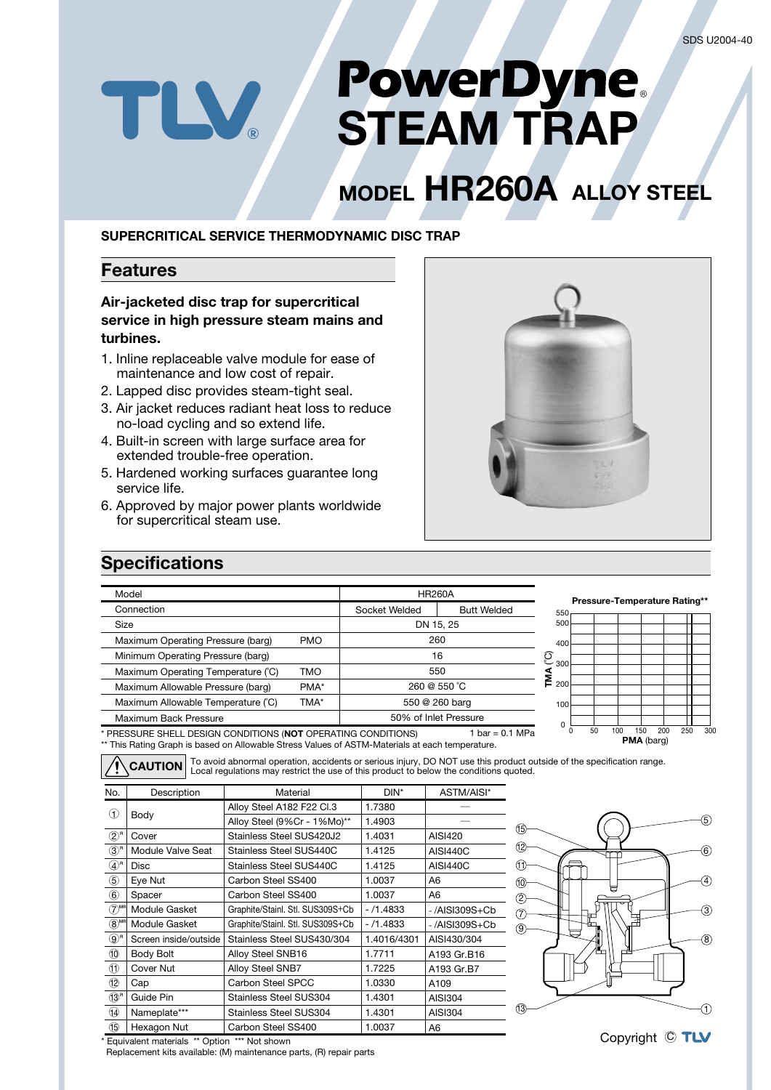# **PowerDyne**<br>STEAM TRAP

# **MODEL HR260A ALLOY STEEL**

## **SUPERCRITICAL SERVICE THERMODYNAMIC DISC TRAP**

# **Features**

TLV

# Air-jacketed disc trap for supercritical service in high pressure steam mains and  **.turbines**

- 1. Inline replaceable valve module for ease of maintenance and low cost of repair.
- 2. Lapped disc provides steam-tight seal.
- 3. Air jacket reduces radiant heat loss to reduce no-load cycling and so extend life.
- 4. Built-in screen with large surface area for extended trouble-free operation.
- 5. Hardened working surfaces guarantee long service life.
- 6. Approved by major power plants worldwide for supercritical steam use.



# **Specifications**

| <b>HR260A</b><br>Connection<br>Socket Welded<br><b>Butt Welded</b><br>550<br>500<br>DN 15.25<br>Size<br>260<br><b>PMO</b><br>Maximum Operating Pressure (barg)<br>400                                                             | <b>Pressure-Temperature Rating**</b> |     |     |     |
|-----------------------------------------------------------------------------------------------------------------------------------------------------------------------------------------------------------------------------------|--------------------------------------|-----|-----|-----|
|                                                                                                                                                                                                                                   |                                      |     |     |     |
|                                                                                                                                                                                                                                   |                                      |     |     |     |
|                                                                                                                                                                                                                                   |                                      |     |     |     |
| ව<br>16<br>Minimum Operating Pressure (barg)                                                                                                                                                                                      |                                      |     |     |     |
| 550<br><b>TMO</b><br>Maximum Operating Temperature (C)<br>≸                                                                                                                                                                       | $-300$                               |     |     |     |
| 200<br>260 @ 550 °C<br>PMA*<br>Maximum Allowable Pressure (barg)                                                                                                                                                                  |                                      |     |     |     |
| 550 @ 260 barg<br>Maximum Allowable Temperature (°C)<br>TMA*<br>100                                                                                                                                                               |                                      |     |     |     |
| 50% of Inlet Pressure<br>Maximum Back Pressure<br>$\Omega$                                                                                                                                                                        |                                      |     |     |     |
| 50<br>PRESSURE SHELL DESIGN CONDITIONS (NOT OPERATING CONDITIONS)<br>1 bar = $0.1$ MPa<br>** This Rating Graph is based on Allowable Stress Values of ASTM-Materials at each temperature.                                         | 100<br>150<br><b>PMA</b> (barg)      | 200 | 250 | 300 |
| To avoid abnormal operation, accidents or serious injury, DO NOT use this product outside of the specification range.<br><b>CAUTION</b><br>Local requlations may restrict the use of this product to below the conditions quoted. |                                      |     |     |     |
| No.<br>ASTM/AISI*<br>Description<br>Material<br>DIN*<br>7380<br>Alloy Steel A182 F22 CL3                                                                                                                                          |                                      |     |     |     |

|                                            | ---------             |                                  |             |                 |
|--------------------------------------------|-----------------------|----------------------------------|-------------|-----------------|
| $\left( 1\right)$                          |                       | Alloy Steel A182 F22 Cl.3        | 1.7380      |                 |
|                                            | Body                  | Alloy Steel (9%Cr - 1%Mo)**      | 1.4903      |                 |
| $(2)^n$                                    | Cover                 | Stainless Steel SUS420J2         | 1.4031      | AISI420         |
| $(3)^n$                                    | Module Valve Seat     | Stainless Steel SUS440C          | 1.4125      | <b>AISI440C</b> |
| $\circled{4}^{\mathsf{r}}$                 | Disc                  | Stainless Steel SUS440C          | 1.4125      | <b>AISI440C</b> |
| $^\circledS$                               | Eye Nut               | Carbon Steel SS400               | 1.0037      | A6              |
| $_{\circledS}$                             | Spacer                | Carbon Steel SS400               | 1.0037      | A6              |
| $(7)$ <sup>MR</sup>                        | Module Gasket         | Graphite/Stainl. Stl. SUS309S+Cb | $-71.4833$  | -/AISI309S+Cb   |
| $\circledR^{\textsf{MR}}$                  | Module Gasket         | Graphite/Stainl. Stl. SUS309S+Cb | $-71.4833$  | -/AISI309S+Cb   |
| $\circledS^{\scriptscriptstyle\mathrm{R}}$ | Screen inside/outside | Stainless Steel SUS430/304       | 1.4016/4301 | AISI430/304     |
| $\circledcirc$                             | Body Bolt             | Alloy Steel SNB16                | 1.7711      | A193 Gr.B16     |
| O                                          | Cover Nut             | Alloy Steel SNB7                 | 1.7225      | A193 Gr.B7      |
| $\circled{12}$                             | Cap                   | Carbon Steel SPCC                | 1.0330      | A109            |
| $(13)$ <sup>R</sup>                        | Guide Pin             | Stainless Steel SUS304           | 1.4301      | AISI304         |
| 14)                                        | Nameplate***          | Stainless Steel SUS304           | 1.4301      | AISI304         |
| 15                                         | Hexagon Nut           | Carbon Steel SS400               | 1.0037      | A6              |



Copyright C

\* Equivalent materials \*\* Option \*\*\* Not shown

Replacement kits available: (M) maintenance parts, (R) repair parts